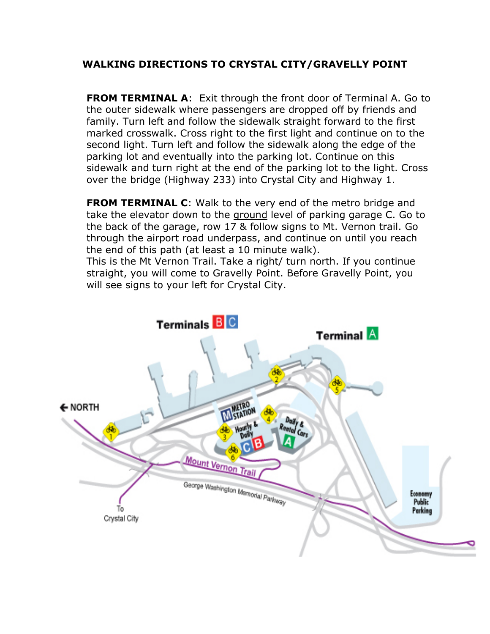## **WALKING DIRECTIONS TO CRYSTAL CITY/GRAVELLY POINT**

**FROM TERMINAL A**: Exit through the front door of Terminal A. Go to the outer sidewalk where passengers are dropped off by friends and family. Turn left and follow the sidewalk straight forward to the first marked crosswalk. Cross right to the first light and continue on to the second light. Turn left and follow the sidewalk along the edge of the parking lot and eventually into the parking lot. Continue on this sidewalk and turn right at the end of the parking lot to the light. Cross over the bridge (Highway 233) into Crystal City and Highway 1.

**FROM TERMINAL C:** Walk to the very end of the metro bridge and take the elevator down to the ground level of parking garage C. Go to the back of the garage, row 17 & follow signs to Mt. Vernon trail. Go through the airport road underpass, and continue on until you reach the end of this path (at least a 10 minute walk). This is the Mt Vernon Trail. Take a right/ turn north. If you continue

straight, you will come to Gravelly Point. Before Gravelly Point, you will see signs to your left for Crystal City.